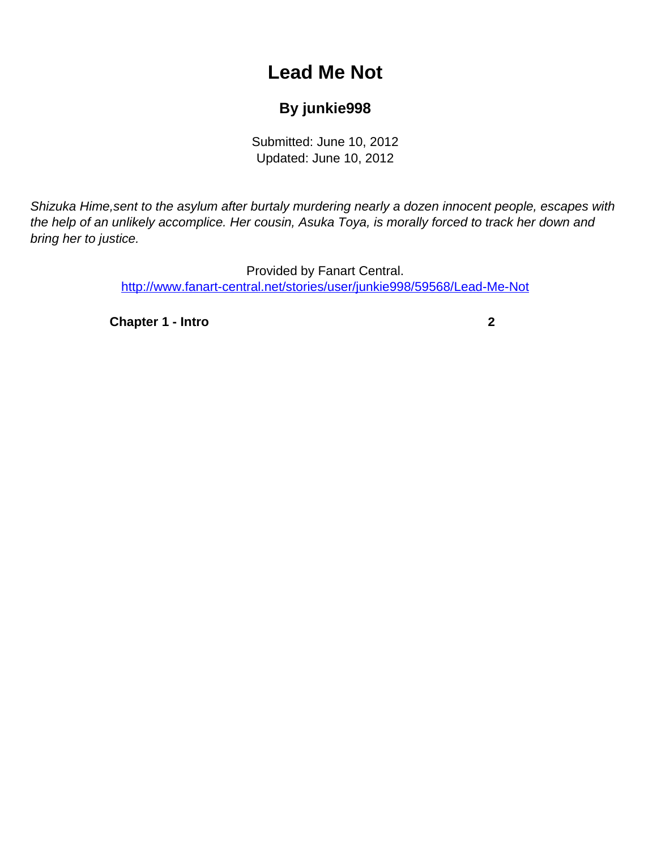## **Lead Me Not**

## **By junkie998**

Submitted: June 10, 2012 Updated: June 10, 2012

<span id="page-0-0"></span>Shizuka Hime,sent to the asylum after burtaly murdering nearly a dozen innocent people, escapes with the help of an unlikely accomplice. Her cousin, Asuka Toya, is morally forced to track her down and bring her to justice.

> Provided by Fanart Central. [http://www.fanart-central.net/stories/user/junkie998/59568/Lead-Me-Not](#page-0-0)

**[Chapter 1 - Intro](#page-1-0) [2](#page-1-0)**